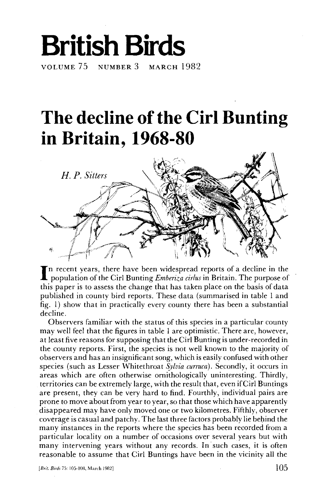# **British Birds**  VOLUME 75 NUMBER 3 MARCH 1982

## **The decline of the Cirl Bunting in Britain, 1968-80**



I n recent years, there have been widespread reports of a decline in the population of the Cirl Bunting *Emberiza cirlus* in Britain. The purpose of this paper is to assess the change that has taken place on the basis of data published in county bird reports. These data (summarised in table 1 and fig. 1) show that in practically every county there has been a substantial decline.

Observers familiar with the status of this species in a particular county may well feel that the figures in table 1 are optimistic. There are, however, at least five reasons for supposing that the Cirl Bunting is under-recorded in the county reports. First, the species is not well known to the majority of observers and has an insignificant song, which is easily confused with other species (such as Lesser Whitethroat *Sylvia curruca).* Secondly, it occurs in areas which are often otherwise ornithologically uninteresting. Thirdly, territories can be extremely large, with the result that, even if Cirl Buntings are present, they can be very hard to find. Fourthly, individual pairs are prone to move about from year to year, so that those which have apparently disappeared may have only moved one or two kilometres. Fifthly, observer coverage is casual and patchy. The last three factors probably lie behind the many instances in the reports where the species has been recorded from a particular locality on a number of occasions over several years but with many intervening years without any records. In such cases, it is often reasonable to assume that Cirl Buntings have been in the vicinity all the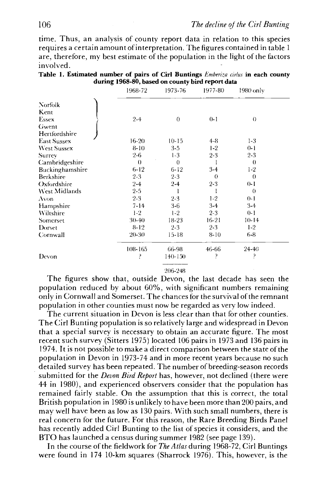time. Thus, an analysis of county report data in relation to this species requires a certain amount of interpretation. The figures contained in table 1 are, therefore, my best estimate of the population in the light of the factors involved.

|                    | during 1968-80, based on county bird report data |             |          |           |  |
|--------------------|--------------------------------------------------|-------------|----------|-----------|--|
|                    | 1968-72                                          | 1973-76     | 1977-80  | 1980 only |  |
| Norfolk.           |                                                  |             |          |           |  |
| Kent               |                                                  |             |          |           |  |
| Essex              | $2 - 4$                                          | $\theta$    | $0 - 1$  | $\langle$ |  |
| Gwent              |                                                  |             |          |           |  |
| Hertfordshire      |                                                  |             |          |           |  |
| <b>East Sussex</b> | $16-20$                                          | $10-15$     | 4-8      | $1-3$     |  |
| <b>West Sussex</b> | $8-10$                                           | $3 - 5$     | $1-2$    | $0 - 1$   |  |
| Surrey             | $2 - 6$                                          | $1-3$       | $2 - 3$  | $2 - 3$   |  |
| Cambridgeshire     | $\theta$                                         | $\theta$    |          | $\theta$  |  |
| Buckinghamshire    | $6 - 12$                                         | $6 - 12$    | $3-4$    | $1-2$     |  |
| <b>Berkshire</b>   | $2-3$                                            | $2 - 3$     | $\theta$ | $\theta$  |  |
| Oxfordshire        | $2 - 4$                                          | $2 - 4$     | $2 - 3$  | $0-1$     |  |
| West Midlands      | $2 - 5$                                          |             |          | $\theta$  |  |
| Avon               | $2 - 3$                                          | $2 - 3$     | $1-2$    | $0 - 1$   |  |
| Hampshire          | $7 - 14$                                         | $3-6$       | $3-4$    | $3-4$     |  |
| Wiltshire          | $1-2$                                            | $1-2$       | $2 - 3$  | $0 - 1$   |  |
| Somerset           | 30-40                                            | 18-23       | 16-21    | $10 - 14$ |  |
| Dorset             | $8 - 12$                                         | $2 - 3$     | $2 - 3$  | $1-2$     |  |
| Cornwall           | 20-30                                            | $15-18$     | 8-10     | 6.8       |  |
|                    | $108 - 165$                                      | 66-98       | 46-66    | 24-40     |  |
| Devon              | э                                                | $140 - 150$ | ρ        | 5         |  |

|                                                  |  | Table 1. Estimated number of pairs of Cirl Buntings $Emberiza$ cirlus in each county |  |  |  |  |  |  |  |  |  |  |  |
|--------------------------------------------------|--|--------------------------------------------------------------------------------------|--|--|--|--|--|--|--|--|--|--|--|
| during 1968-80, based on county bird report data |  |                                                                                      |  |  |  |  |  |  |  |  |  |  |  |

206-248

The figures show that, outside Devon, the last decade has seen the population reduced by about 60%, with significant numbers remaining only in Cornwall and Somerset. The chances for the survival of the remnant population in other counties must now be regarded as very low indeed.

The current situation in Devon is less clear than that for other counties. The Cirl Bunting population is so relatively large and widespread in Devon that a special survey is necessary to obtain an accurate figure. The most recent such survey (Sitters 1975) located 106 pairs in 1973 and 136 pairs in 1974. It is not possible to make a direct comparison between the state of the population in Devon in 1973-74 and in more recent years because no such detailed survey has been repeated. The number of breeding-season records submitted for the *Devon Bird Report* has, however, not declined (there were 44 in 1980), and experienced observers consider that the population has remained fairly stable. On the assumption that this is correct, the total British population in 1980 is unlikely to have been more than 200 pairs, and may well have been as low as 130 pairs. With such small numbers, there is real concern for the future. For this reason, the Rare Breeding Birds Panel has recently added Cirl Bunting to the list of species it considers, and the BTO has launched a census during summer 1982 (see page 139).

In the course of the fieldwork for *The Atlas* during 1968-72, Cirl Buntings were found in 174 10-km squares (Sharrock 1976). This, however, is the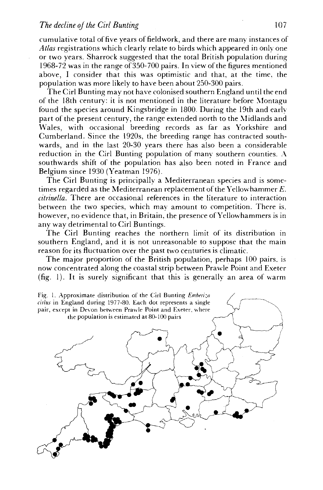### *The decline of the Cirl Bunting* 107

cumulative total of five years of fieldwork, and there are many instances of *Atlas* registrations which clearly relate to birds which appeared in only one or two years. Sharrock suggested that the total British population during 1968-72 was in the range of 350-700 pairs. In view of the figures mentioned above, I consider that this was optimistic and that, at the time, the population was more likely to have been about 250-300 pairs.

The Cirl Bunting may not have colonised southern England until the end of the 18th century: it is not mentioned in the literature before Montagu found the species around Kingsbridge in 1800. During the 19th and earlypart of the present century, the range extended north to the Midlands and Wales, with occasional breeding records as far as Yorkshire and Cumberland. Since the 1920s, the breeding range has contracted southwards, and in the last 20-30 years there has also been a considerable reduction in the Cirl Bunting population of many southern counties. A southwards shift of the population has also been noted in France and Belgium since 1930 (Yeatman 1976).

The Cirl Bunting is principally a Mediterranean species and is sometimes regarded as the Mediterranean replacement of the Yellowhammer *E. citrinella.* There are occasional references in the literature to interaction between the two species, which may amount to competition. There is. however, no evidence that, in Britain, the presence of Yellowhammers is in any way detrimental to Cirl Buntings.

The Cirl Bunting reaches the northern limit of its distribution in southern England, and it is not unreasonable to suppose that the main reason for its fluctuation over the past two centuries is climatic.

The major proportion of the British population, perhaps 100 pairs, is now concentrated along the coastal strip between Prawle Point and Exeter (fig. 1). It is surely significant that this is generally an area of warm